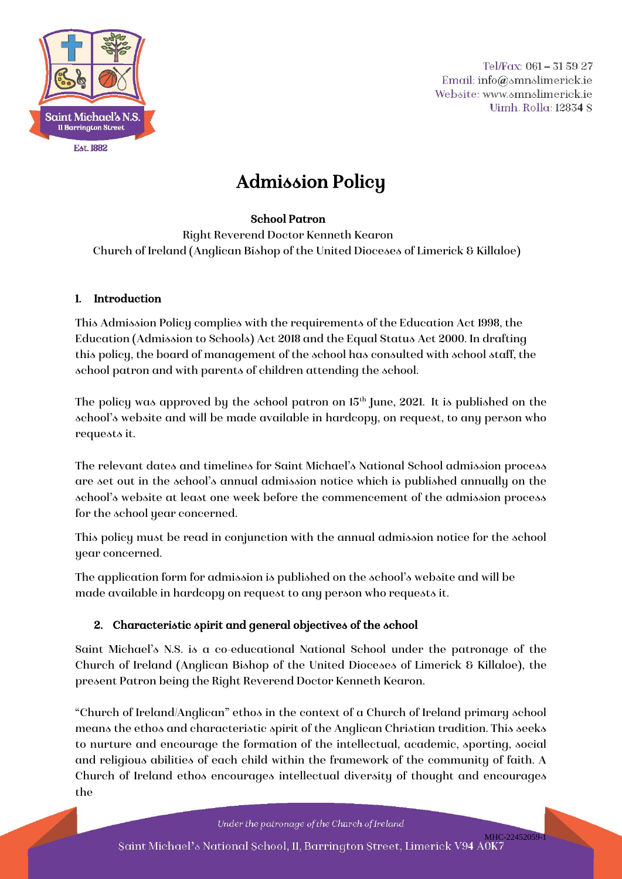

Tel/Fax:  $061 - 315927$ Email: info@smnslimerick.ie Website: www.smnslimerick.ie Uimh. Rolla: 12834 S

# Admission Policy

#### School Patron

Right Reverend Doctor Kenneth Kearon Church of Ireland (Anglican Bishop of the United Dioceses of Limerick & Killaloe)

#### 1. Introduction

This Admission Policy complies with the requirements of the Education Act 1998, the Education (Admission to Schools) Act 2018 and the Equal Status Act 2000. In drafting this policy, the board of management of the school has consulted with school staff, the school patron and with parents of children attending the school.

The policy was approved by the school patron on 15<sup>th</sup> June, 2021. It is published on the school's website and will be made available in hardcopy, on request, to any person who requests it.

The relevant dates and timelines for Saint Michael's National School admission process are set out in the school's annual admission notice which is published annually on the school's website at least one week before the commencement of the admission process for the school year concerned.

This policy must be read in conjunction with the annual admission notice for the school year concerned.

The application form for admission is published on the school's website and will be made available in hardcopy on request to any person who requests it.

# 2. Characteristic spirit and general objectives of the school

Saint Michael's N.S. is a co-educational National School under the patronage of the Church of Ireland (Anglican Bishop of the United Dioceses of Limerick & Killaloe), the present Patron being the Right Reverend Doctor Kenneth Kearon.

"Church of Ireland/Anglican" ethos in the context of a Church of Ireland primary school means the ethos and characteristic spirit of the Anglican Christian tradition. This seeks to nurture and encourage the formation of the intellectual, academic, sporting, social and religious abilities of each child within the framework of the community of faith. A Church of Ireland ethos encourages intellectual diversity of thought and encourages the

Under the patronage of the Church of Ireland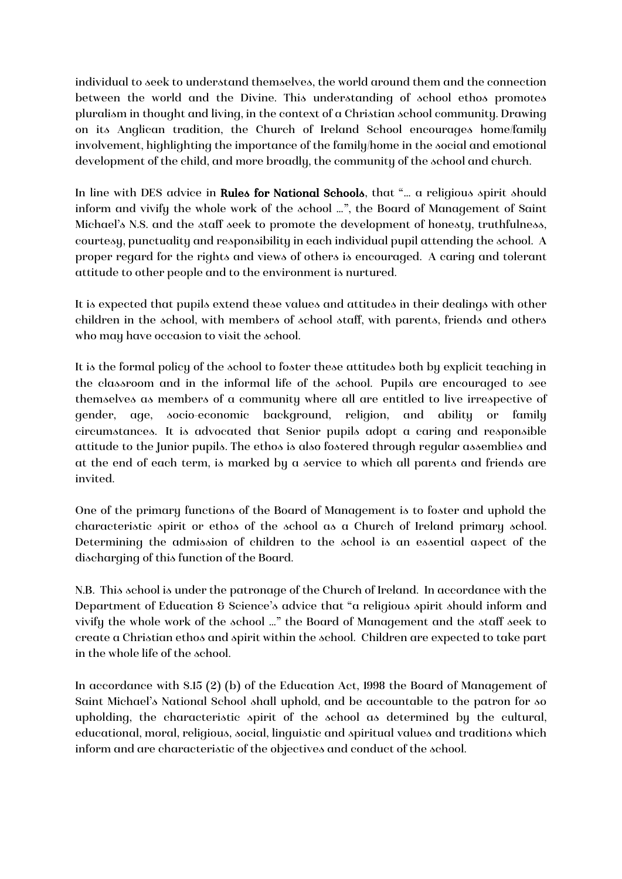individual to seek to understand themselves, the world around them and the connection between the world and the Divine. This understanding of school ethos promotes pluralism in thought and living, in the context of a Christian school community. Drawing on its Anglican tradition, the Church of Ireland School encourages home/family involvement, highlighting the importance of the family/home in the social and emotional development of the child, and more broadly, the community of the school and church.

In line with DES advice in Rules for National Schools, that "... a religious spirit should inform and vivify the whole work of the school …", the Board of Management of Saint Michael's N.S. and the staff seek to promote the development of honesty, truthfulness, courtesy, punctuality and responsibility in each individual pupil attending the school. A proper regard for the rights and views of others is encouraged. A caring and tolerant attitude to other people and to the environment is nurtured.

It is expected that pupils extend these values and attitudes in their dealings with other children in the school, with members of school staff, with parents, friends and others who may have occasion to visit the school.

It is the formal policy of the school to foster these attitudes both by explicit teaching in the classroom and in the informal life of the school. Pupils are encouraged to see themselves as members of a community where all are entitled to live irrespective of gender, age, socio-economic background, religion, and ability or family circumstances. It is advocated that Senior pupils adopt a caring and responsible attitude to the Junior pupils. The ethos is also fostered through regular assemblies and at the end of each term, is marked by a service to which all parents and friends are invited.

One of the primary functions of the Board of Management is to foster and uphold the characteristic spirit or ethos of the school as a Church of Ireland primary school. Determining the admission of children to the school is an essential aspect of the discharging of this function of the Board.

N.B. This school is under the patronage of the Church of Ireland. In accordance with the Department of Education & Science's advice that "a religious spirit should inform and vivify the whole work of the school …" the Board of Management and the staff seek to create a Christian ethos and spirit within the school. Children are expected to take part in the whole life of the school.

In accordance with S.15 (2) (b) of the Education Act, 1998 the Board of Management of Saint Michael's National School shall uphold, and be accountable to the patron for so upholding, the characteristic spirit of the school as determined by the cultural, educational, moral, religious, social, linguistic and spiritual values and traditions which inform and are characteristic of the objectives and conduct of the school.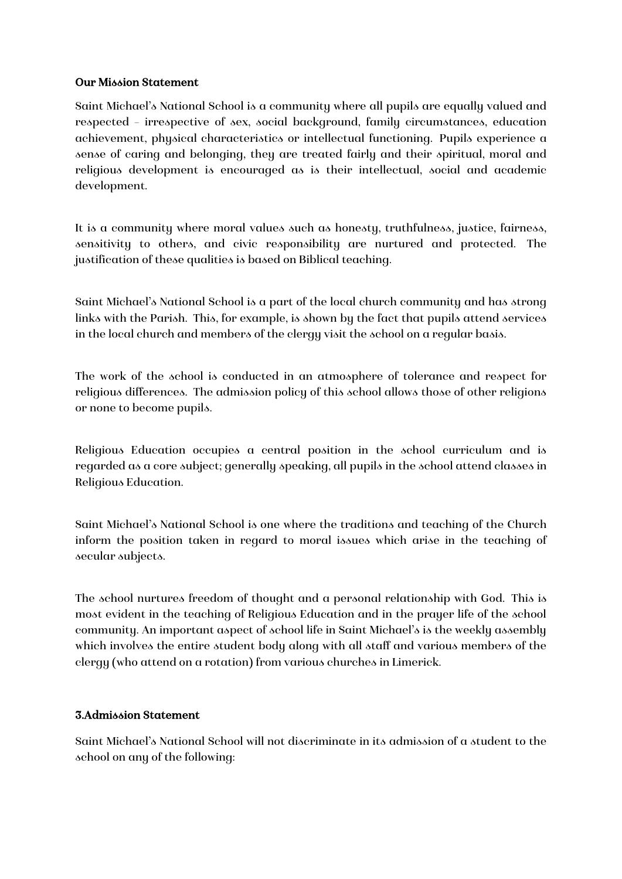#### Our Mission Statement

Saint Michael's National School is a community where all pupils are equally valued and respected – irrespective of sex, social background, family circumstances, education achievement, physical characteristics or intellectual functioning. Pupils experience a sense of caring and belonging, they are treated fairly and their spiritual, moral and religious development is encouraged as is their intellectual, social and academic development.

It is a community where moral values such as honesty, truthfulness, justice, fairness, sensitivity to others, and civic responsibility are nurtured and protected. The justification of these qualities is based on Biblical teaching.

Saint Michael's National School is a part of the local church community and has strong links with the Parish. This, for example, is shown by the fact that pupils attend services in the local church and members of the clergy visit the school on a regular basis.

The work of the school is conducted in an atmosphere of tolerance and respect for religious differences. The admission policy of this school allows those of other religions or none to become pupils.

Religious Education occupies a central position in the school curriculum and is regarded as a core subject; generally speaking, all pupils in the school attend classes in Religious Education.

Saint Michael's National School is one where the traditions and teaching of the Church inform the position taken in regard to moral issues which arise in the teaching of secular subjects.

The school nurtures freedom of thought and a personal relationship with God. This is most evident in the teaching of Religious Education and in the prayer life of the school community. An important aspect of school life in Saint Michael's is the weekly assembly which involves the entire student body along with all staff and various members of the clergy (who attend on a rotation) from various churches in Limerick.

#### 3.Admission Statement

Saint Michael's National School will not discriminate in its admission of a student to the school on any of the following: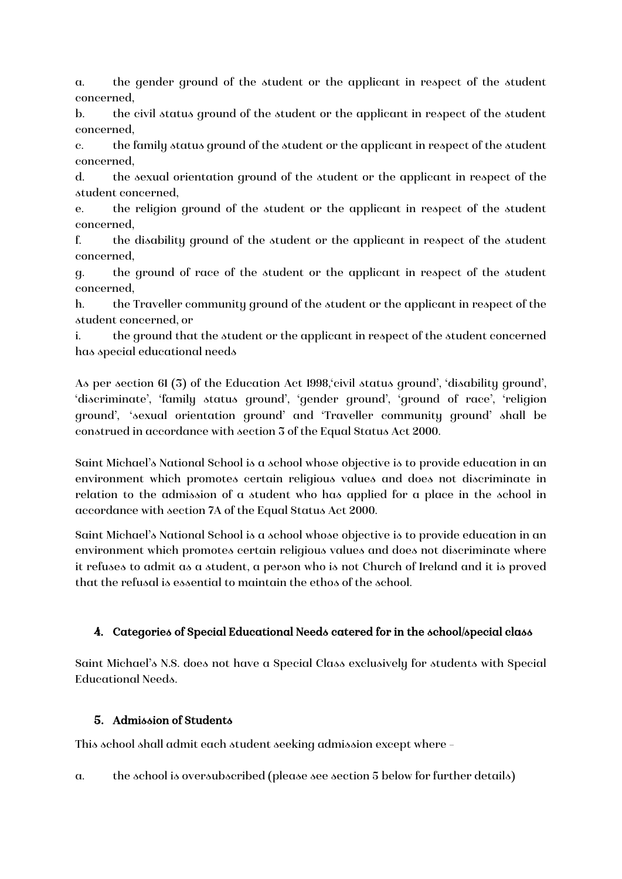a. the gender ground of the student or the applicant in respect of the student concerned,

b. the civil status ground of the student or the applicant in respect of the student concerned,

c. the family status ground of the student or the applicant in respect of the student concerned,

d. the sexual orientation ground of the student or the applicant in respect of the student concerned,

e. the religion ground of the student or the applicant in respect of the student concerned,

f. the disability ground of the student or the applicant in respect of the student concerned,

g. the ground of race of the student or the applicant in respect of the student concerned,

h. the Traveller community ground of the student or the applicant in respect of the student concerned, or

i. the ground that the student or the applicant in respect of the student concerned has special educational needs

As per section 61 (3) of the Education Act 1998,'civil status ground', 'disability ground', 'discriminate', 'family status ground', 'gender ground', 'ground of race', 'religion ground', 'sexual orientation ground' and 'Traveller community ground' shall be construed in accordance with section 3 of the Equal Status Act 2000.

Saint Michael's National School is a school whose objective is to provide education in an environment which promotes certain religious values and does not discriminate in relation to the admission of a student who has applied for a place in the school in accordance with section 7A of the Equal Status Act 2000.

Saint Michael's National School is a school whose objective is to provide education in an environment which promotes certain religious values and does not discriminate where it refuses to admit as a student, a person who is not Church of Ireland and it is proved that the refusal is essential to maintain the ethos of the school.

# 4. Categories of Special Educational Needs catered for in the school/special class

Saint Michael's N.S. does not have a Special Class exclusively for students with Special Educational Needs.

# 5. Admission of Students

This school shall admit each student seeking admission except where –

a. the school is oversubscribed (please see section 5 below for further details)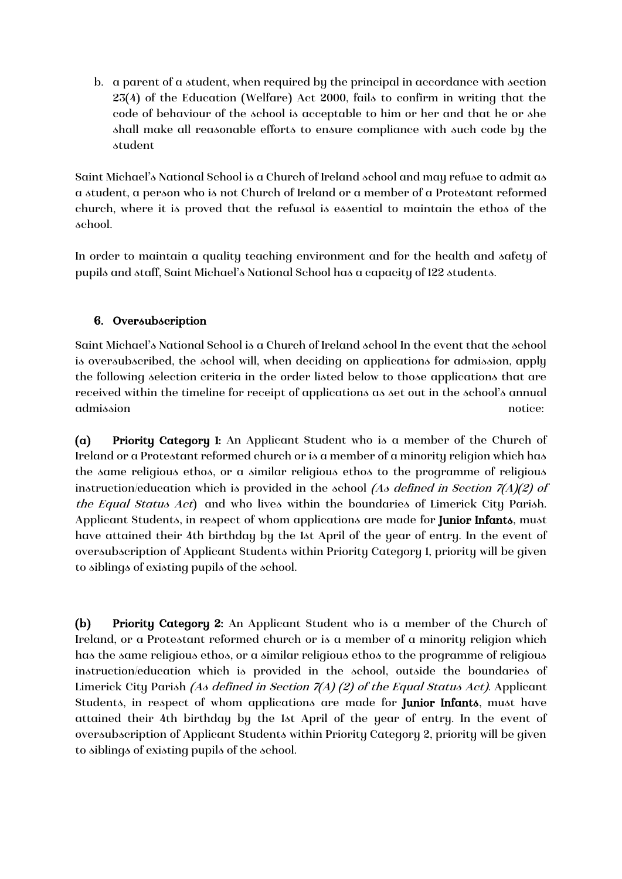b. a parent of a student, when required by the principal in accordance with section 23(4) of the Education (Welfare) Act 2000, fails to confirm in writing that the code of behaviour of the school is acceptable to him or her and that he or she shall make all reasonable efforts to ensure compliance with such code by the student

Saint Michael's National School is a Church of Ireland school and may refuse to admit as a student, a person who is not Church of Ireland or a member of a Protestant reformed church, where it is proved that the refusal is essential to maintain the ethos of the school.

In order to maintain a quality teaching environment and for the health and safety of pupils and staff, Saint Michael's National School has a capacity of 122 students.

# 6. Oversubscription

Saint Michael's National School is a Church of Ireland school In the event that the school is oversubscribed, the school will, when deciding on applications for admission, apply the following selection criteria in the order listed below to those applications that are received within the timeline for receipt of applications as set out in the school's annual admission notice:

(a) Priority Category 1: An Applicant Student who is a member of the Church of Ireland or a Protestant reformed church or is a member of a minority religion which has the same religious ethos, or a similar religious ethos to the programme of religious instruction/education which is provided in the school (As defined in Section  $7/4$ )(2) of the Equal Status Act) and who lives within the boundaries of Limerick City Parish. Applicant Students, in respect of whom applications are made for Junior Infants, must have attained their 4th birthday by the 1st April of the year of entry. In the event of oversubscription of Applicant Students within Priority Category 1, priority will be given to siblings of existing pupils of the school.

(b) Priority Category 2: An Applicant Student who is a member of the Church of Ireland, or a Protestant reformed church or is a member of a minority religion which has the same religious ethos, or a similar religious ethos to the programme of religious instruction/education which is provided in the school, outside the boundaries of Limerick City Parish (As defined in Section 7(A) (2) of the Equal Status Act). Applicant Students, in respect of whom applications are made for Junior Infants, must have attained their 4th birthday by the 1st April of the year of entry. In the event of oversubscription of Applicant Students within Priority Category 2, priority will be given to siblings of existing pupils of the school.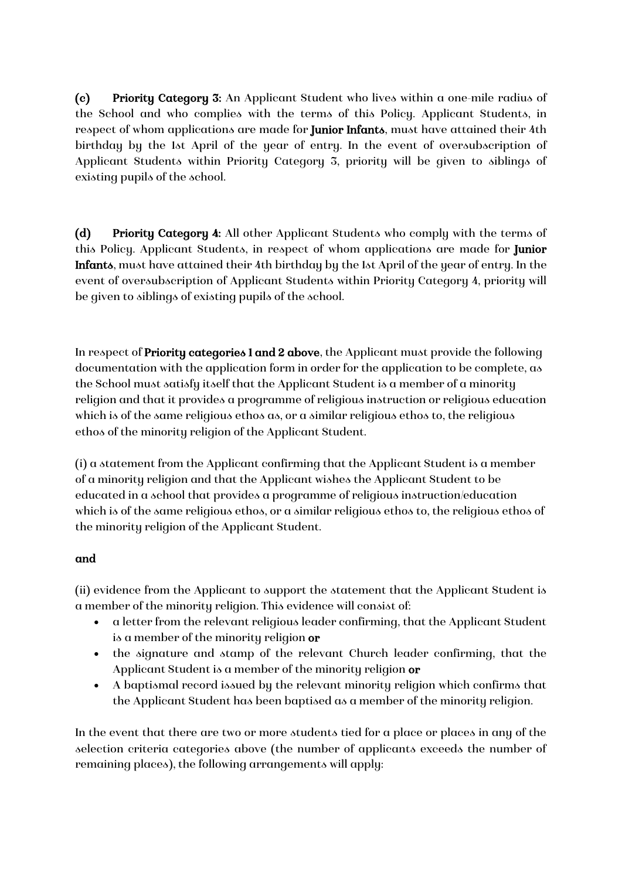(c) Priority Category 3: An Applicant Student who lives within a one-mile radius of the School and who complies with the terms of this Policy. Applicant Students, in respect of whom applications are made for Junior Infants, must have attained their 4th birthday by the 1st April of the year of entry. In the event of oversubscription of Applicant Students within Priority Category 3, priority will be given to siblings of existing pupils of the school.

(d) Priority Category 4: All other Applicant Students who comply with the terms of this Policy. Applicant Students, in respect of whom applications are made for Junior Infants, must have attained their 4th birthday by the 1st April of the year of entry. In the event of oversubscription of Applicant Students within Priority Category 4, priority will be given to siblings of existing pupils of the school.

In respect of Priority categories 1 and 2 above, the Applicant must provide the following documentation with the application form in order for the application to be complete, as the School must satisfy itself that the Applicant Student is a member of a minority religion and that it provides a programme of religious instruction or religious education which is of the same religious ethos as, or a similar religious ethos to, the religious ethos of the minority religion of the Applicant Student.

(i) a statement from the Applicant confirming that the Applicant Student is a member of a minority religion and that the Applicant wishes the Applicant Student to be educated in a school that provides a programme of religious instruction/education which is of the same religious ethos, or a similar religious ethos to, the religious ethos of the minority religion of the Applicant Student.

#### and

(ii) evidence from the Applicant to support the statement that the Applicant Student is a member of the minority religion. This evidence will consist of:

- a letter from the relevant religious leader confirming, that the Applicant Student is a member of the minority religion or
- the signature and stamp of the relevant Church leader confirming, that the Applicant Student is a member of the minority religion or
- A baptismal record issued by the relevant minority religion which confirms that the Applicant Student has been baptised as a member of the minority religion.

In the event that there are two or more students tied for a place or places in any of the selection criteria categories above (the number of applicants exceeds the number of remaining places), the following arrangements will apply: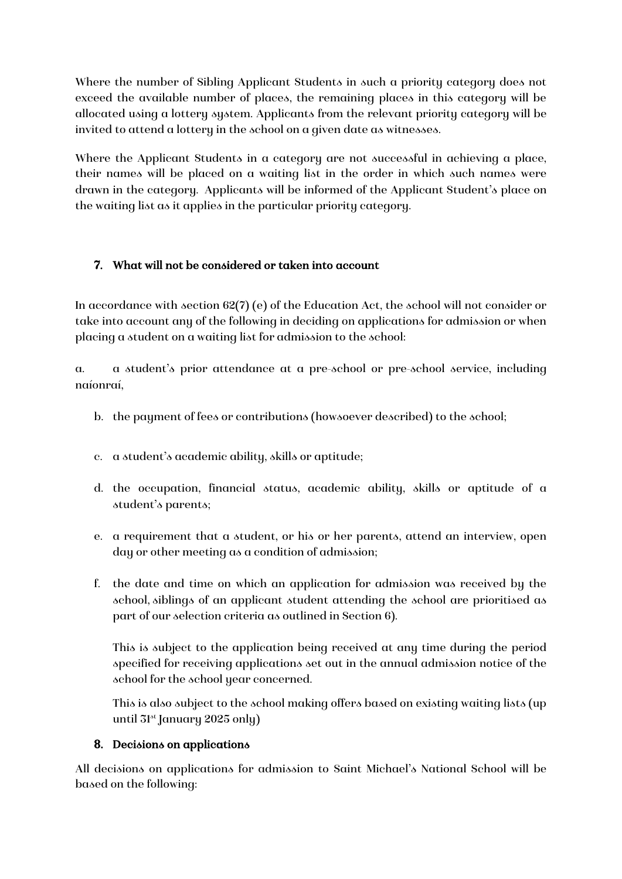Where the number of Sibling Applicant Students in such a priority category does not exceed the available number of places, the remaining places in this category will be allocated using a lottery system. Applicants from the relevant priority category will be invited to attend a lottery in the school on a given date as witnesses.

Where the Applicant Students in a category are not successful in achieving a place, their names will be placed on a waiting list in the order in which such names were drawn in the category. Applicants will be informed of the Applicant Student's place on the waiting list as it applies in the particular priority category.

#### 7. What will not be considered or taken into account

In accordance with section 62(7) (e) of the Education Act, the school will not consider or take into account any of the following in deciding on applications for admission or when placing a student on a waiting list for admission to the school:

a. a student's prior attendance at a pre-school or pre-school service, including naíonraí,

- b. the payment of fees or contributions (howsoever described) to the school;
- c. a student's academic ability, skills or aptitude;
- d. the occupation, financial status, academic ability, skills or aptitude of a student's parents;
- e. a requirement that a student, or his or her parents, attend an interview, open day or other meeting as a condition of admission;
- f. the date and time on which an application for admission was received by the school, siblings of an applicant student attending the school are prioritised as part of our selection criteria as outlined in Section 6).

This is subject to the application being received at any time during the period specified for receiving applications set out in the annual admission notice of the school for the school year concerned.

This is also subject to the school making offers based on existing waiting lists (up until 31st January 2025 only)

#### 8. Decisions on applications

All decisions on applications for admission to Saint Michael's National School will be based on the following: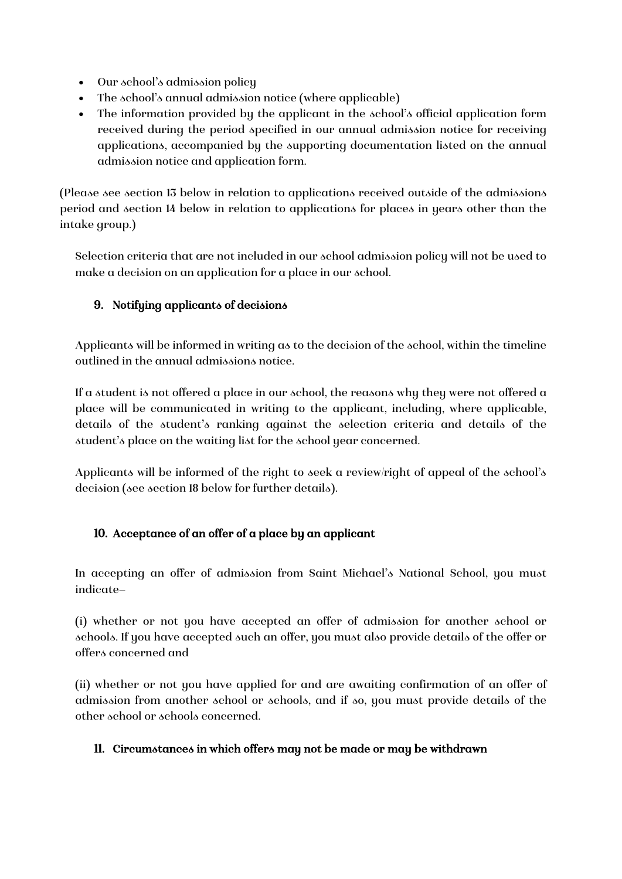- Our school's admission policy
- The school's annual admission notice (where applicable)
- The information provided by the applicant in the school's official application form received during the period specified in our annual admission notice for receiving applications, accompanied by the supporting documentation listed on the annual admission notice and application form.

(Please see section 13 below in relation to applications received outside of the admissions period and section 14 below in relation to applications for places in years other than the intake group.)

Selection criteria that are not included in our school admission policy will not be used to make a decision on an application for a place in our school.

#### 9. Notifying applicants of decisions

Applicants will be informed in writing as to the decision of the school, within the timeline outlined in the annual admissions notice.

If a student is not offered a place in our school, the reasons why they were not offered a place will be communicated in writing to the applicant, including, where applicable, details of the student's ranking against the selection criteria and details of the student's place on the waiting list for the school year concerned.

Applicants will be informed of the right to seek a review/right of appeal of the school's decision (see section 18 below for further details).

# 10. Acceptance of an offer of a place by an applicant

In accepting an offer of admission from Saint Michael's National School, you must indicate—

(i) whether or not you have accepted an offer of admission for another school or schools. If you have accepted such an offer, you must also provide details of the offer or offers concerned and

(ii) whether or not you have applied for and are awaiting confirmation of an offer of admission from another school or schools, and if so, you must provide details of the other school or schools concerned.

#### 11. Circumstances in which offers may not be made or may be withdrawn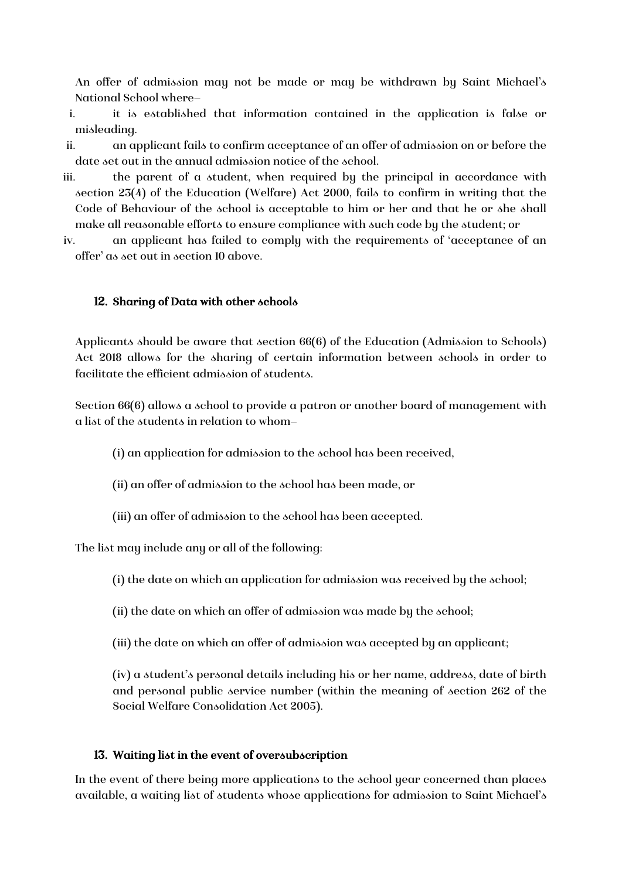An offer of admission may not be made or may be withdrawn by Saint Michael's National School where—

- i. it is established that information contained in the application is false or misleading.
- ii. an applicant fails to confirm acceptance of an offer of admission on or before the date set out in the annual admission notice of the school.
- iii. the parent of a student, when required by the principal in accordance with section 23(4) of the Education (Welfare) Act 2000, fails to confirm in writing that the Code of Behaviour of the school is acceptable to him or her and that he or she shall make all reasonable efforts to ensure compliance with such code by the student; or
- iv. an applicant has failed to comply with the requirements of 'acceptance of an offer' as set out in section 10 above.

#### 12. Sharing of Data with other schools

Applicants should be aware that section 66(6) of the Education (Admission to Schools) Act 2018 allows for the sharing of certain information between schools in order to facilitate the efficient admission of students.

Section 66(6) allows a school to provide a patron or another board of management with a list of the students in relation to whom—

- (i) an application for admission to the school has been received,
- (ii) an offer of admission to the school has been made, or
- (iii) an offer of admission to the school has been accepted.

The list may include any or all of the following:

- (i) the date on which an application for admission was received by the school;
- (ii) the date on which an offer of admission was made by the school;
- (iii) the date on which an offer of admission was accepted by an applicant;

(iv) a student's personal details including his or her name, address, date of birth and personal public service number (within the meaning of section 262 of the Social Welfare Consolidation Act 2005).

#### 13. Waiting list in the event of oversubscription

In the event of there being more applications to the school year concerned than places available, a waiting list of students whose applications for admission to Saint Michael's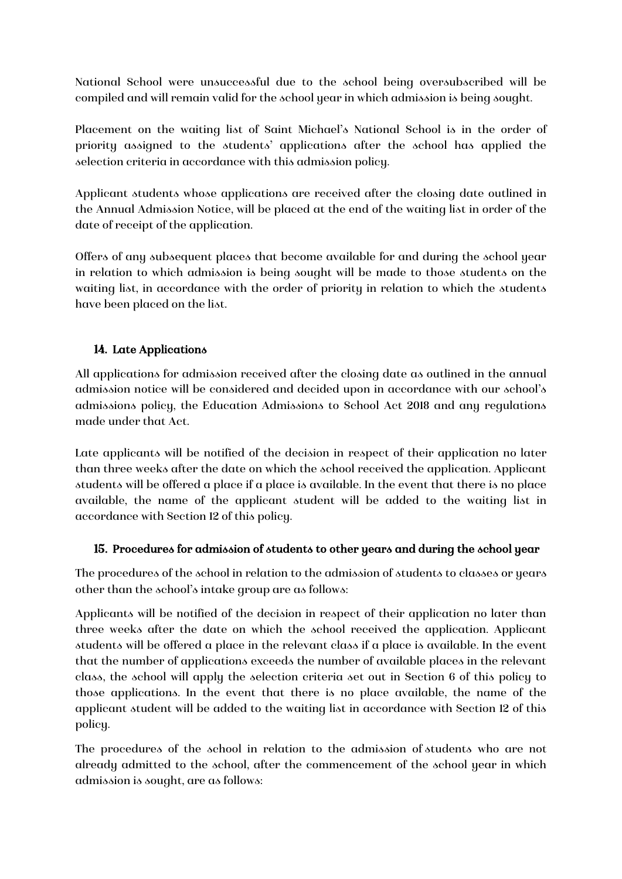National School were unsuccessful due to the school being oversubscribed will be compiled and will remain valid for the school year in which admission is being sought.

Placement on the waiting list of Saint Michael's National School is in the order of priority assigned to the students' applications after the school has applied the selection criteria in accordance with this admission policy.

Applicant students whose applications are received after the closing date outlined in the Annual Admission Notice, will be placed at the end of the waiting list in order of the date of receipt of the application.

Offers of any subsequent places that become available for and during the school year in relation to which admission is being sought will be made to those students on the waiting list, in accordance with the order of priority in relation to which the students have been placed on the list.

# 14. Late Applications

All applications for admission received after the closing date as outlined in the annual admission notice will be considered and decided upon in accordance with our school's admissions policy, the Education Admissions to School Act 2018 and any regulations made under that Act.

Late applicants will be notified of the decision in respect of their application no later than three weeks after the date on which the school received the application. Applicant students will be offered a place if a place is available. In the event that there is no place available, the name of the applicant student will be added to the waiting list in accordance with Section 12 of this policy.

# 15. Procedures for admission of students to other years and during the school year

The procedures of the school in relation to the admission of students to classes or years other than the school's intake group are as follows:

Applicants will be notified of the decision in respect of their application no later than three weeks after the date on which the school received the application. Applicant students will be offered a place in the relevant class if a place is available. In the event that the number of applications exceeds the number of available places in the relevant class, the school will apply the selection criteria set out in Section 6 of this policy to those applications. In the event that there is no place available, the name of the applicant student will be added to the waiting list in accordance with Section 12 of this policy.

The procedures of the school in relation to the admission of students who are not already admitted to the school, after the commencement of the school year in which admission is sought, are as follows: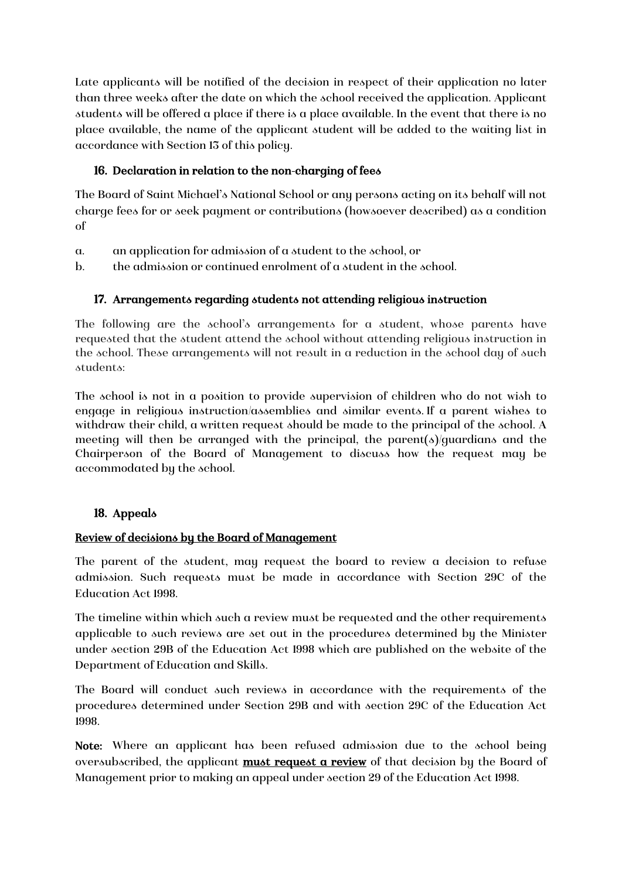Late applicants will be notified of the decision in respect of their application no later than three weeks after the date on which the school received the application. Applicant students will be offered a place if there is a place available. In the event that there is no place available, the name of the applicant student will be added to the waiting list in accordance with Section 13 of this policy.

# 16. Declaration in relation to the non-charging of fees

The Board of Saint Michael's National School or any persons acting on its behalf will not charge fees for or seek payment or contributions (howsoever described) as a condition of

- a. an application for admission of a student to the school, or
- b. the admission or continued enrolment of a student in the school.

# 17. Arrangements regarding students not attending religious instruction

The following are the school's arrangements for a student, whose parents have requested that the student attend the school without attending religious instruction in the school. These arrangements will not result in a reduction in the school day of such students:

The school is not in a position to provide supervision of children who do not wish to engage in religious instruction/assemblies and similar events. If a parent wishes to withdraw their child, a written request should be made to the principal of the school. A meeting will then be arranged with the principal, the parent(s)/guardians and the Chairperson of the Board of Management to discuss how the request may be accommodated by the school.

# 18. Appeals

# Review of decisions by the Board of Management

The parent of the student, may request the board to review a decision to refuse admission. Such requests must be made in accordance with Section 29C of the Education Act 1998.

The timeline within which such a review must be requested and the other requirements applicable to such reviews are set out in the procedures determined by the Minister under section 29B of the Education Act 1998 which are published on the website of the Department of Education and Skills.

The Board will conduct such reviews in accordance with the requirements of the procedures determined under Section 29B and with section 29C of the Education Act 1998.

Note: Where an applicant has been refused admission due to the school being oversubscribed, the applicant **must request a review** of that decision by the Board of Management prior to making an appeal under section 29 of the Education Act 1998.